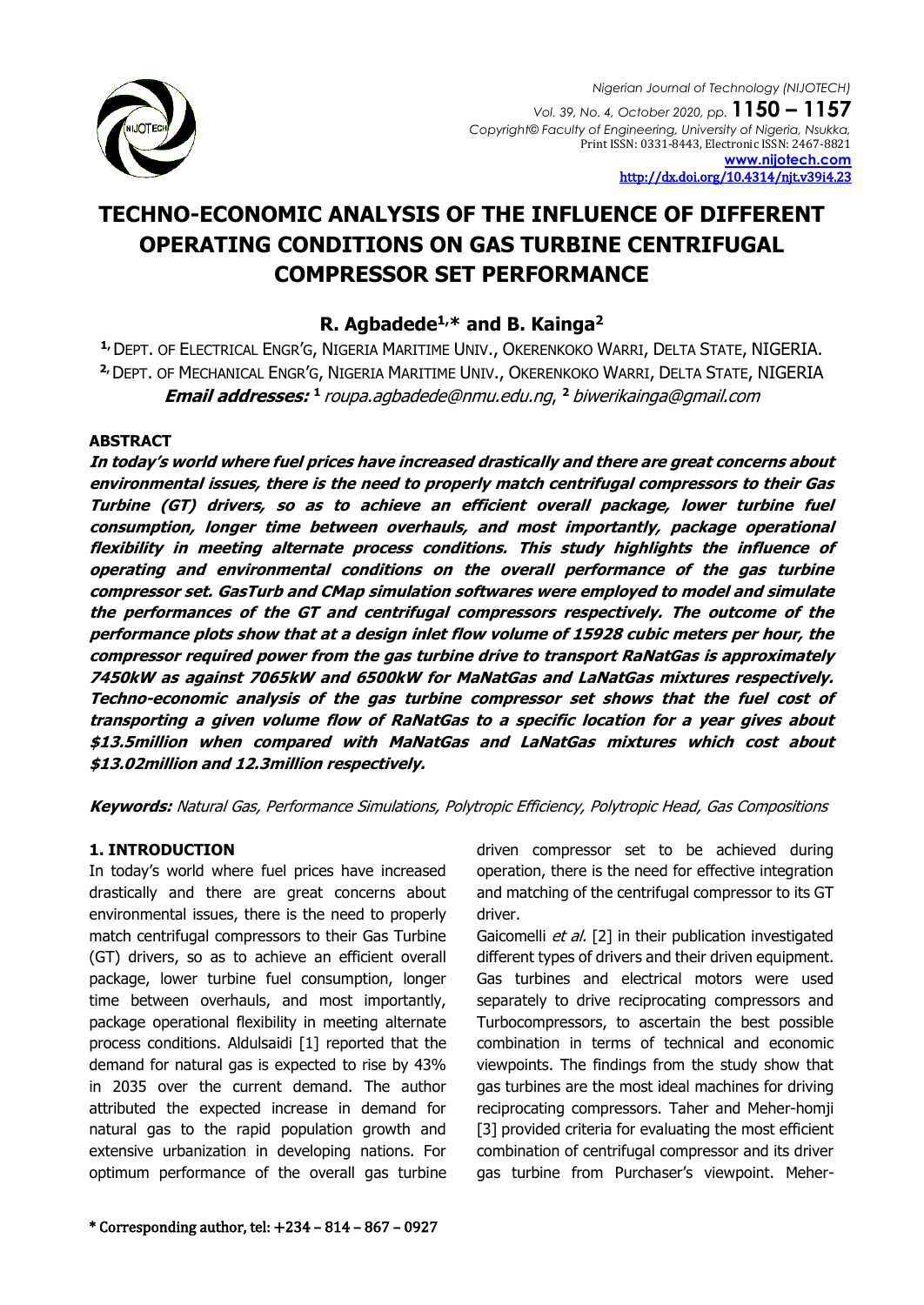

# **TECHNO-ECONOMIC ANALYSIS OF THE INFLUENCE OF DIFFERENT OPERATING CONDITIONS ON GAS TURBINE CENTRIFUGAL COMPRESSOR SET PERFORMANCE**

# **R. Agbadede1,\* and B. Kainga<sup>2</sup>**

**1,**DEPT. OF ELECTRICAL ENGR'G, NIGERIA MARITIME UNIV., OKERENKOKO WARRI, DELTA STATE, NIGERIA. **2,**DEPT. OF MECHANICAL ENGR'G, NIGERIA MARITIME UNIV., OKERENKOKO WARRI, DELTA STATE, NIGERIA **Email addresses: <sup>1</sup>**[roupa.agbadede@nmu.edu.ng](mailto:1%20roupa.agbadede@nmu.edu.ng,%202%20biwerikainga@gmail.com), **<sup>2</sup>**biwerikainga@gmail.com

# **ABSTRACT**

**In today's world where fuel prices have increased drastically and there are great concerns about environmental issues, there is the need to properly match centrifugal compressors to their Gas Turbine (GT) drivers, so as to achieve an efficient overall package, lower turbine fuel consumption, longer time between overhauls, and most importantly, package operational flexibility in meeting alternate process conditions. This study highlights the influence of operating and environmental conditions on the overall performance of the gas turbine compressor set. GasTurb and CMap simulation softwares were employed to model and simulate the performances of the GT and centrifugal compressors respectively. The outcome of the performance plots show that at a design inlet flow volume of 15928 cubic meters per hour, the compressor required power from the gas turbine drive to transport RaNatGas is approximately 7450kW as against 7065kW and 6500kW for MaNatGas and LaNatGas mixtures respectively. Techno-economic analysis of the gas turbine compressor set shows that the fuel cost of transporting a given volume flow of RaNatGas to a specific location for a year gives about \$13.5million when compared with MaNatGas and LaNatGas mixtures which cost about \$13.02million and 12.3million respectively.**

**Keywords:** Natural Gas, Performance Simulations, Polytropic Efficiency, Polytropic Head, Gas Compositions

# **1. INTRODUCTION**

In today's world where fuel prices have increased drastically and there are great concerns about environmental issues, there is the need to properly match centrifugal compressors to their Gas Turbine (GT) drivers, so as to achieve an efficient overall package, lower turbine fuel consumption, longer time between overhauls, and most importantly, package operational flexibility in meeting alternate process conditions. Aldulsaidi [1] reported that the demand for natural gas is expected to rise by 43% in 2035 over the current demand. The author attributed the expected increase in demand for natural gas to the rapid population growth and extensive urbanization in developing nations. For optimum performance of the overall gas turbine

driven compressor set to be achieved during operation, there is the need for effective integration and matching of the centrifugal compressor to its GT driver.

Gaicomelli et al. [2] in their publication investigated different types of drivers and their driven equipment. Gas turbines and electrical motors were used separately to drive reciprocating compressors and Turbocompressors, to ascertain the best possible combination in terms of technical and economic viewpoints. The findings from the study show that gas turbines are the most ideal machines for driving reciprocating compressors. Taher and Meher-homji [3] provided criteria for evaluating the most efficient combination of centrifugal compressor and its driver gas turbine from Purchaser's viewpoint. Meher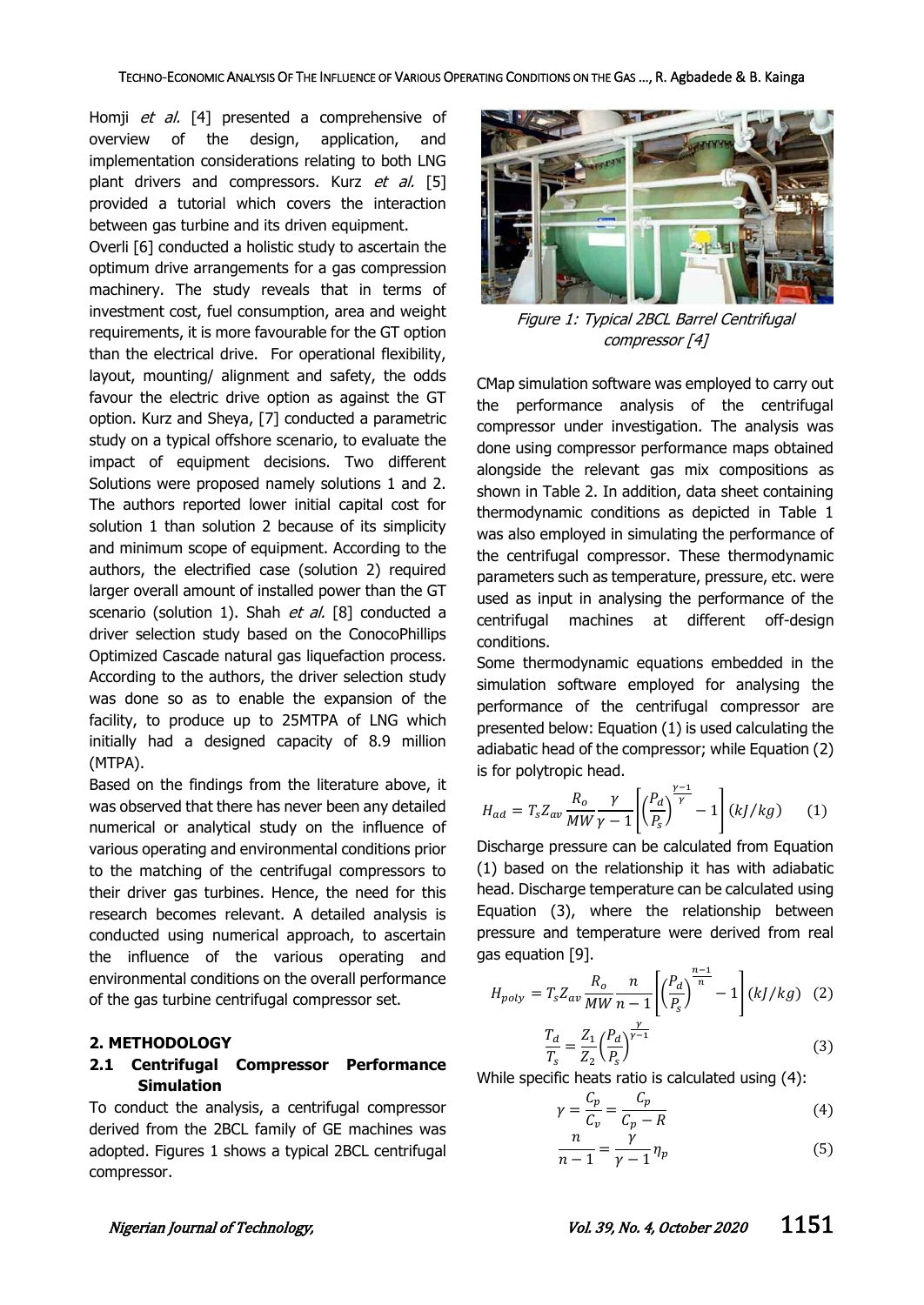Homji et al. [4] presented a comprehensive of overview of the design, application, and implementation considerations relating to both LNG plant drivers and compressors. Kurz et al. [5] provided a tutorial which covers the interaction between gas turbine and its driven equipment.

Overli [6] conducted a holistic study to ascertain the optimum drive arrangements for a gas compression machinery. The study reveals that in terms of investment cost, fuel consumption, area and weight requirements, it is more favourable for the GT option than the electrical drive. For operational flexibility, layout, mounting/ alignment and safety, the odds favour the electric drive option as against the GT option. Kurz and Sheya, [7] conducted a parametric study on a typical offshore scenario, to evaluate the impact of equipment decisions. Two different Solutions were proposed namely solutions 1 and 2. The authors reported lower initial capital cost for solution 1 than solution 2 because of its simplicity and minimum scope of equipment. According to the authors, the electrified case (solution 2) required larger overall amount of installed power than the GT scenario (solution 1). Shah et al. [8] conducted a driver selection study based on the ConocoPhillips Optimized Cascade natural gas liquefaction process. According to the authors, the driver selection study was done so as to enable the expansion of the facility, to produce up to 25MTPA of LNG which initially had a designed capacity of 8.9 million (MTPA).

Based on the findings from the literature above, it was observed that there has never been any detailed numerical or analytical study on the influence of various operating and environmental conditions prior to the matching of the centrifugal compressors to their driver gas turbines. Hence, the need for this research becomes relevant. A detailed analysis is conducted using numerical approach, to ascertain the influence of the various operating and environmental conditions on the overall performance of the gas turbine centrifugal compressor set.

#### **2. METHODOLOGY**

# **2.1 Centrifugal Compressor Performance Simulation**

To conduct the analysis, a centrifugal compressor derived from the 2BCL family of GE machines was adopted. Figures 1 shows a typical 2BCL centrifugal compressor.



Figure 1: Typical 2BCL Barrel Centrifugal compressor [4]

CMap simulation software was employed to carry out the performance analysis of the centrifugal compressor under investigation. The analysis was done using compressor performance maps obtained alongside the relevant gas mix compositions as shown in Table 2. In addition, data sheet containing thermodynamic conditions as depicted in Table 1 was also employed in simulating the performance of the centrifugal compressor. These thermodynamic parameters such as temperature, pressure, etc. were used as input in analysing the performance of the centrifugal machines at different off-design conditions.

Some thermodynamic equations embedded in the simulation software employed for analysing the performance of the centrifugal compressor are presented below: Equation (1) is used calculating the adiabatic head of the compressor; while Equation (2) is for polytropic head.

$$
H_{ad} = T_s Z_{av} \frac{R_o}{MW} \frac{\gamma}{\gamma - 1} \left[ \left( \frac{P_d}{P_s} \right)^{\frac{\gamma - 1}{\gamma}} - 1 \right] (kJ/kg) \tag{1}
$$

Discharge pressure can be calculated from Equation (1) based on the relationship it has with adiabatic head. Discharge temperature can be calculated using Equation (3), where the relationship between pressure and temperature were derived from real gas equation [9].

$$
H_{poly} = T_s Z_{av} \frac{R_o}{MW} \frac{n}{n-1} \left[ \left( \frac{P_d}{P_s} \right)^{\frac{n-1}{n}} - 1 \right] (kJ/kg) \quad (2)
$$

$$
\frac{T_d}{T_s} = \frac{Z_1}{Z_2} \left( \frac{P_d}{P_s} \right)^{\frac{\gamma}{\gamma - 1}} \tag{3}
$$

While specific heats ratio is calculated using (4):

$$
\gamma = \frac{C_p}{C_v} = \frac{C_p}{C_p - R} \tag{4}
$$

$$
\frac{n}{n-1} = \frac{\gamma}{\gamma - 1} \eta_p \tag{5}
$$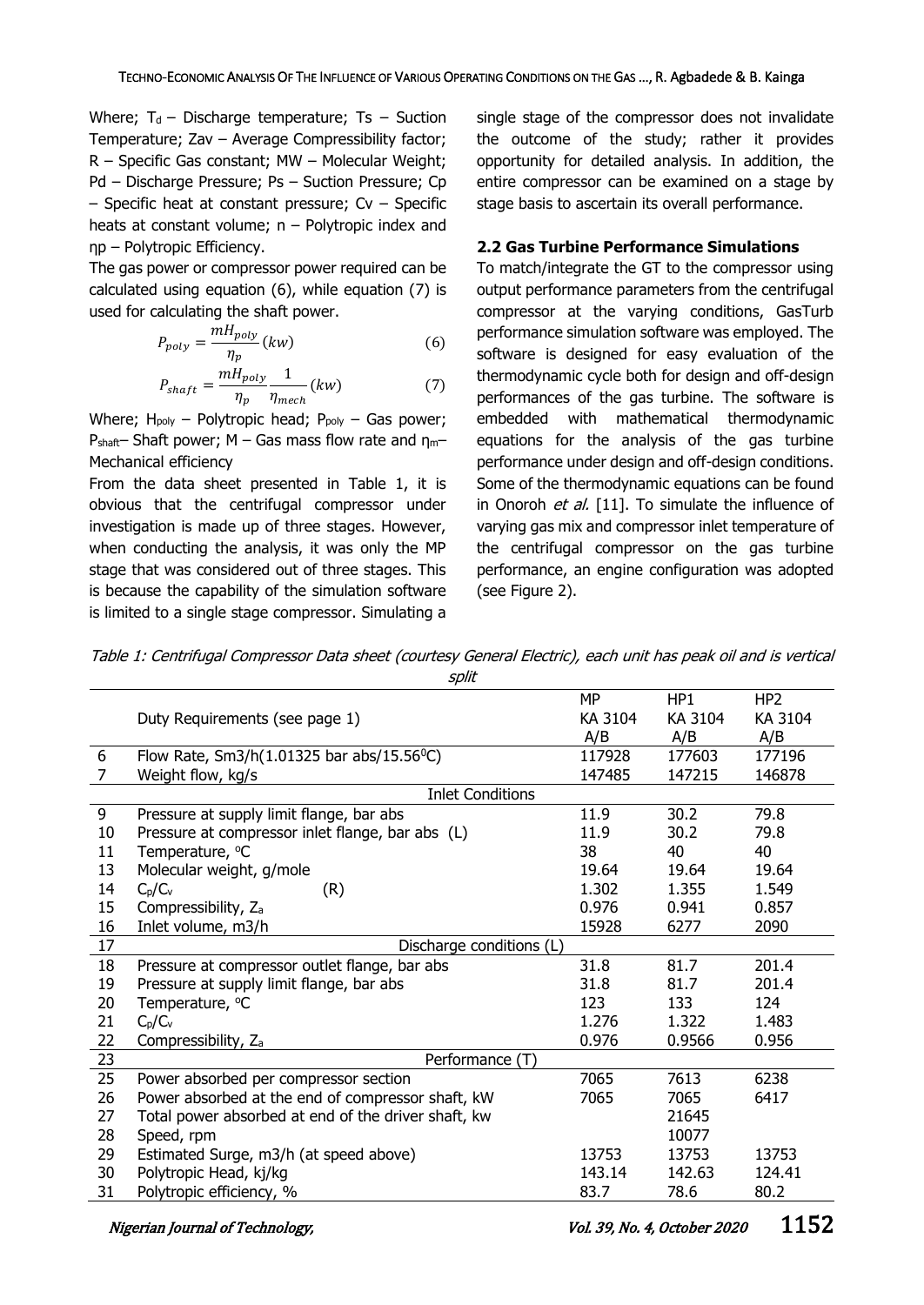Where;  $T_d$  – Discharge temperature; Ts – Suction Temperature; Zav – Average Compressibility factor; R – Specific Gas constant; MW – Molecular Weight; Pd – Discharge Pressure; Ps – Suction Pressure; Cp  $-$  Specific heat at constant pressure; Cv  $-$  Specific heats at constant volume;  $n -$  Polytropic index and ηp – Polytropic Efficiency.

The gas power or compressor power required can be calculated using equation (6), while equation (7) is used for calculating the shaft power.

$$
P_{poly} = \frac{mH_{poly}}{\eta_p}(kw)
$$
 (6)

$$
P_{shaff} = \frac{mH_{poly}}{\eta_p} \frac{1}{\eta_{mech}}(kw)
$$
 (7)

Where;  $H_{poly}$  – Polytropic head;  $P_{poly}$  – Gas power; P<sub>shaft</sub>– Shaft power; M – Gas mass flow rate and  $\eta_{m}$ – Mechanical efficiency

From the data sheet presented in Table 1, it is obvious that the centrifugal compressor under investigation is made up of three stages. However, when conducting the analysis, it was only the MP stage that was considered out of three stages. This is because the capability of the simulation software is limited to a single stage compressor. Simulating a

single stage of the compressor does not invalidate the outcome of the study; rather it provides opportunity for detailed analysis. In addition, the entire compressor can be examined on a stage by stage basis to ascertain its overall performance.

#### **2.2 Gas Turbine Performance Simulations**

To match/integrate the GT to the compressor using output performance parameters from the centrifugal compressor at the varying conditions, GasTurb performance simulation software was employed. The software is designed for easy evaluation of the thermodynamic cycle both for design and off-design performances of the gas turbine. The software is embedded with mathematical thermodynamic equations for the analysis of the gas turbine performance under design and off-design conditions. Some of the thermodynamic equations can be found in Onoroh et al. [11]. To simulate the influence of varying gas mix and compressor inlet temperature of the centrifugal compressor on the gas turbine performance, an engine configuration was adopted (see Figure 2).

Table 1: Centrifugal Compressor Data sheet (courtesy General Electric), each unit has peak oil and is vertical cnlit

|    | יייד                                                   |         |         |                 |
|----|--------------------------------------------------------|---------|---------|-----------------|
|    |                                                        | MP      | HP1     | HP <sub>2</sub> |
|    | Duty Requirements (see page 1)                         | KA 3104 | KA 3104 | KA 3104         |
|    |                                                        | A/B     | A/B     | A/B             |
| 6  | Flow Rate, Sm3/h(1.01325 bar abs/15.56 <sup>o</sup> C) | 117928  | 177603  | 177196          |
| 7  | Weight flow, kg/s                                      | 147485  | 147215  | 146878          |
|    | <b>Inlet Conditions</b>                                |         |         |                 |
| 9  | Pressure at supply limit flange, bar abs               | 11.9    | 30.2    | 79.8            |
| 10 | Pressure at compressor inlet flange, bar abs (L)       | 11.9    | 30.2    | 79.8            |
| 11 | Temperature, °C                                        | 38      | 40      | 40              |
| 13 | Molecular weight, g/mole                               | 19.64   | 19.64   | 19.64           |
| 14 | $C_p/C_v$<br>(R)                                       | 1.302   | 1.355   | 1.549           |
| 15 | Compressibility, Z <sub>a</sub>                        | 0.976   | 0.941   | 0.857           |
| 16 | Inlet volume, m3/h                                     | 15928   | 6277    | 2090            |
| 17 | Discharge conditions (L)                               |         |         |                 |
| 18 | Pressure at compressor outlet flange, bar abs          | 31.8    | 81.7    | 201.4           |
| 19 | Pressure at supply limit flange, bar abs               | 31.8    | 81.7    | 201.4           |
| 20 | Temperature, °C                                        | 123     | 133     | 124             |
| 21 | $C_p/C_v$                                              | 1.276   | 1.322   | 1.483           |
| 22 | Compressibility, Z <sub>a</sub>                        | 0.976   | 0.9566  | 0.956           |
| 23 | Performance (T)                                        |         |         |                 |
| 25 | Power absorbed per compressor section                  | 7065    | 7613    | 6238            |
| 26 | Power absorbed at the end of compressor shaft, kW      | 7065    | 7065    | 6417            |
| 27 | Total power absorbed at end of the driver shaft, kw    |         | 21645   |                 |
| 28 | Speed, rpm                                             |         | 10077   |                 |
| 29 | Estimated Surge, m3/h (at speed above)                 | 13753   | 13753   | 13753           |
| 30 | Polytropic Head, kj/kg                                 | 143.14  | 142.63  | 124.41          |
| 31 | Polytropic efficiency, %                               | 83.7    | 78.6    | 80.2            |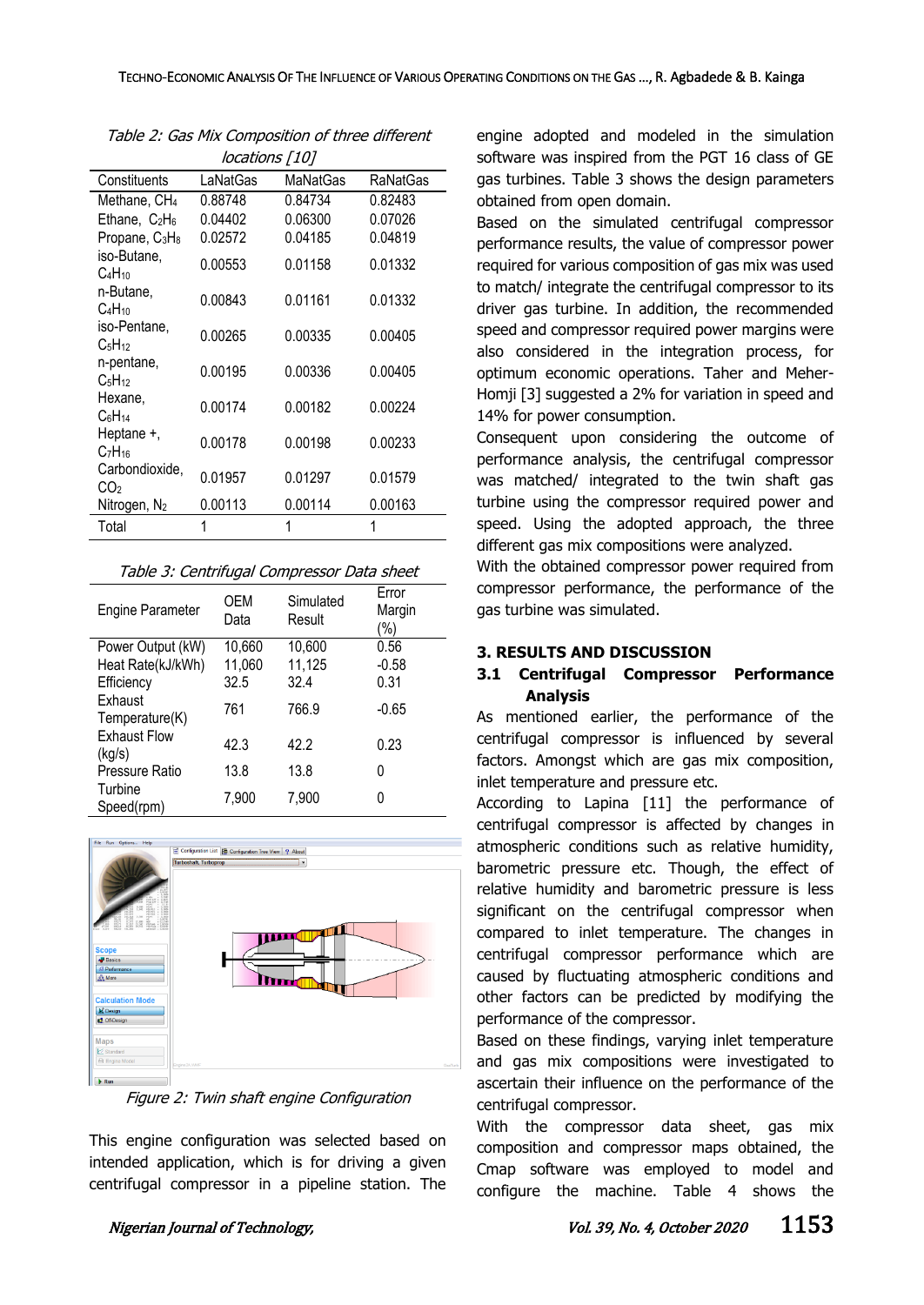| <i>IUCALIUI 13   10 </i>                       |          |          |          |
|------------------------------------------------|----------|----------|----------|
| Constituents                                   | LaNatGas | MaNatGas | RaNatGas |
| Methane, CH <sub>4</sub>                       | 0.88748  | 0.84734  | 0.82483  |
| Ethane, $C_2H_6$                               | 0.04402  | 0.06300  | 0.07026  |
| Propane, C <sub>3</sub> H <sub>8</sub>         | 0.02572  | 0.04185  | 0.04819  |
| iso-Butane,<br>C <sub>4</sub> H <sub>10</sub>  | 0.00553  | 0.01158  | 0.01332  |
| n-Butane,<br>C <sub>4</sub> H <sub>10</sub>    | 0.00843  | 0.01161  | 0.01332  |
| iso-Pentane,<br>C <sub>5</sub> H <sub>12</sub> | 0.00265  | 0.00335  | 0.00405  |
| n-pentane,<br>C <sub>5</sub> H <sub>12</sub>   | 0.00195  | 0.00336  | 0.00405  |
| Hexane.<br>C <sub>6</sub> H <sub>14</sub>      | 0.00174  | 0.00182  | 0.00224  |
| Heptane +,<br>$C_7H_{16}$                      | 0.00178  | 0.00198  | 0.00233  |
| Carbondioxide,<br>CO2                          | 0.01957  | 0.01297  | 0.01579  |
| Nitrogen, N <sub>2</sub>                       | 0.00113  | 0.00114  | 0.00163  |
| Total                                          |          | 1        |          |

Table 2: Gas Mix Composition of three different locations [10]

| Table 3: Centrifugal Compressor Data sheet |
|--------------------------------------------|
|--------------------------------------------|

| <b>Engine Parameter</b>       | OEM<br>Data | Simulated<br>Result | Error<br>Margin<br>'%) |
|-------------------------------|-------------|---------------------|------------------------|
| Power Output (kW)             | 10,660      | 10,600              | 0.56                   |
| Heat Rate(kJ/kWh)             | 11,060      | 11,125              | $-0.58$                |
| Efficiency                    | 32.5        | 32.4                | 0.31                   |
| Exhaust<br>Temperature(K)     | 761         | 766.9               | $-0.65$                |
| <b>Exhaust Flow</b><br>(kg/s) | 42.3        | 42.2                | 0.23                   |
| Pressure Ratio                | 13.8        | 13.8                | 0                      |
| Turbine<br>Speed(rpm)         | 7,900       | 7,900               | 0                      |



Figure 2: Twin shaft engine Configuration

This engine configuration was selected based on intended application, which is for driving a given centrifugal compressor in a pipeline station. The engine adopted and modeled in the simulation software was inspired from the PGT 16 class of GE gas turbines. Table 3 shows the design parameters obtained from open domain.

Based on the simulated centrifugal compressor performance results, the value of compressor power required for various composition of gas mix was used to match/ integrate the centrifugal compressor to its driver gas turbine. In addition, the recommended speed and compressor required power margins were also considered in the integration process, for optimum economic operations. Taher and Meher-Homji [3] suggested a 2% for variation in speed and 14% for power consumption.

Consequent upon considering the outcome of performance analysis, the centrifugal compressor was matched/ integrated to the twin shaft gas turbine using the compressor required power and speed. Using the adopted approach, the three different gas mix compositions were analyzed.

With the obtained compressor power required from compressor performance, the performance of the gas turbine was simulated.

# **3. RESULTS AND DISCUSSION**

# **3.1 Centrifugal Compressor Performance Analysis**

As mentioned earlier, the performance of the centrifugal compressor is influenced by several factors. Amongst which are gas mix composition, inlet temperature and pressure etc.

According to Lapina [11] the performance of centrifugal compressor is affected by changes in atmospheric conditions such as relative humidity, barometric pressure etc. Though, the effect of relative humidity and barometric pressure is less significant on the centrifugal compressor when compared to inlet temperature. The changes in centrifugal compressor performance which are caused by fluctuating atmospheric conditions and other factors can be predicted by modifying the performance of the compressor.

Based on these findings, varying inlet temperature and gas mix compositions were investigated to ascertain their influence on the performance of the centrifugal compressor.

With the compressor data sheet, gas mix composition and compressor maps obtained, the Cmap software was employed to model and configure the machine. Table 4 shows the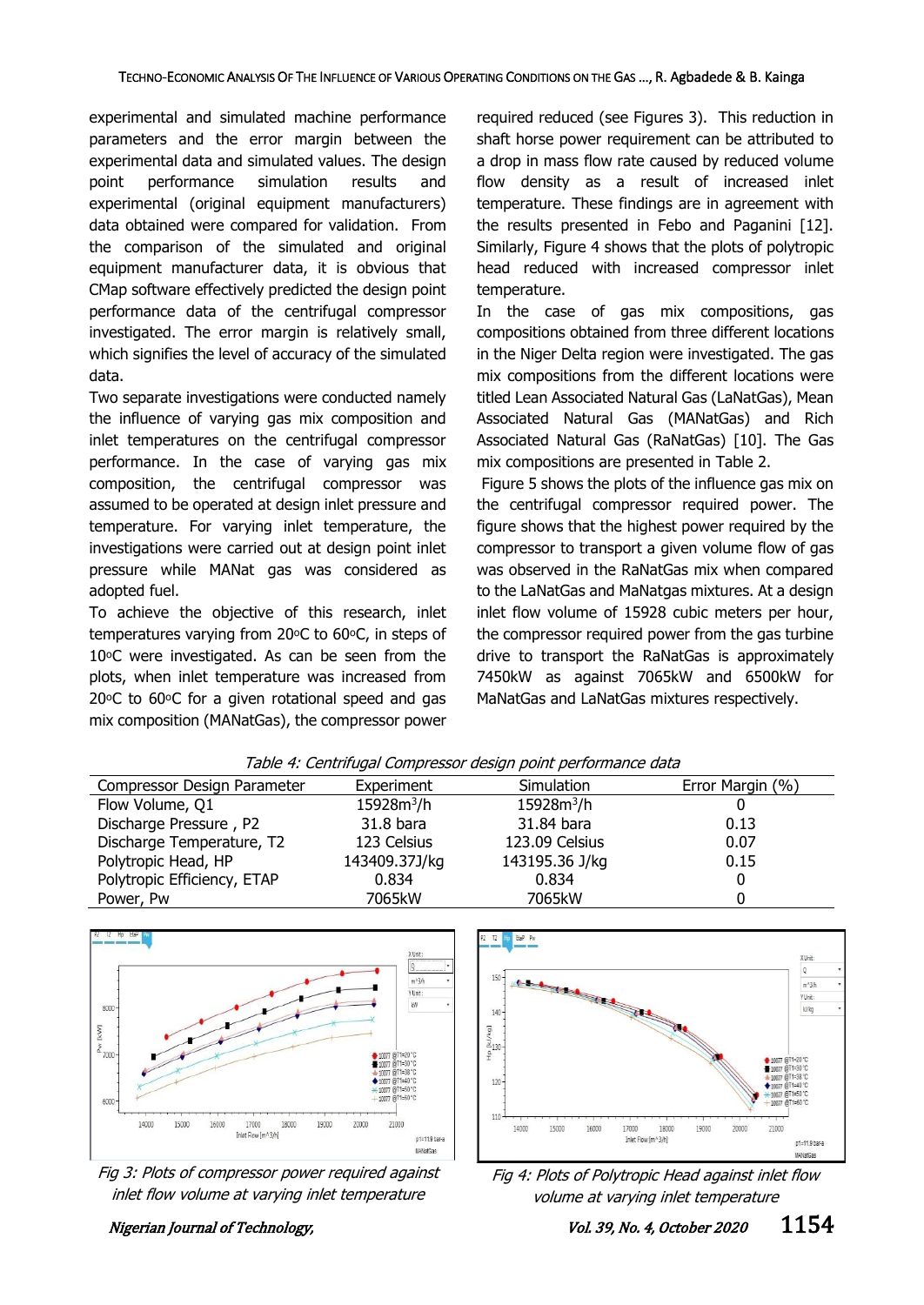experimental and simulated machine performance parameters and the error margin between the experimental data and simulated values. The design point performance simulation results and experimental (original equipment manufacturers) data obtained were compared for validation. From the comparison of the simulated and original equipment manufacturer data, it is obvious that CMap software effectively predicted the design point performance data of the centrifugal compressor investigated. The error margin is relatively small, which signifies the level of accuracy of the simulated data.

Two separate investigations were conducted namely the influence of varying gas mix composition and inlet temperatures on the centrifugal compressor performance. In the case of varying gas mix composition, the centrifugal compressor was assumed to be operated at design inlet pressure and temperature. For varying inlet temperature, the investigations were carried out at design point inlet pressure while MANat gas was considered as adopted fuel.

To achieve the objective of this research, inlet temperatures varying from 20 $\circ$ C to 60 $\circ$ C, in steps of 10°C were investigated. As can be seen from the plots, when inlet temperature was increased from  $20\degree$ C to  $60\degree$ C for a given rotational speed and gas mix composition (MANatGas), the compressor power

required reduced (see Figures 3). This reduction in shaft horse power requirement can be attributed to a drop in mass flow rate caused by reduced volume flow density as a result of increased inlet temperature. These findings are in agreement with the results presented in Febo and Paganini [12]. Similarly, Figure 4 shows that the plots of polytropic head reduced with increased compressor inlet temperature.

In the case of gas mix compositions, gas compositions obtained from three different locations in the Niger Delta region were investigated. The gas mix compositions from the different locations were titled Lean Associated Natural Gas (LaNatGas), Mean Associated Natural Gas (MANatGas) and Rich Associated Natural Gas (RaNatGas) [10]. The Gas mix compositions are presented in Table 2.

Figure 5 shows the plots of the influence gas mix on the centrifugal compressor required power. The figure shows that the highest power required by the compressor to transport a given volume flow of gas was observed in the RaNatGas mix when compared to the LaNatGas and MaNatgas mixtures. At a design inlet flow volume of 15928 cubic meters per hour, the compressor required power from the gas turbine drive to transport the RaNatGas is approximately 7450kW as against 7065kW and 6500kW for MaNatGas and LaNatGas mixtures respectively.

| rabic 1. Centrinagar compressor acsign point performance adta |               |                |                  |
|---------------------------------------------------------------|---------------|----------------|------------------|
| Compressor Design Parameter                                   | Experiment    | Simulation     | Error Margin (%) |
| Flow Volume, Q1                                               | $15928m^3/h$  | $15928m^3/h$   |                  |
| Discharge Pressure, P2                                        | 31.8 bara     | 31.84 bara     | 0.13             |
| Discharge Temperature, T2                                     | 123 Celsius   | 123.09 Celsius | 0.07             |
| Polytropic Head, HP                                           | 143409.37J/kg | 143195.36 J/kg | 0.15             |
| Polytropic Efficiency, ETAP                                   | 0.834         | 0.834          |                  |
| Power, Pw                                                     | 7065kW        | 7065kW         |                  |





Fig 3: Plots of compressor power required against inlet flow volume at varying inlet temperature





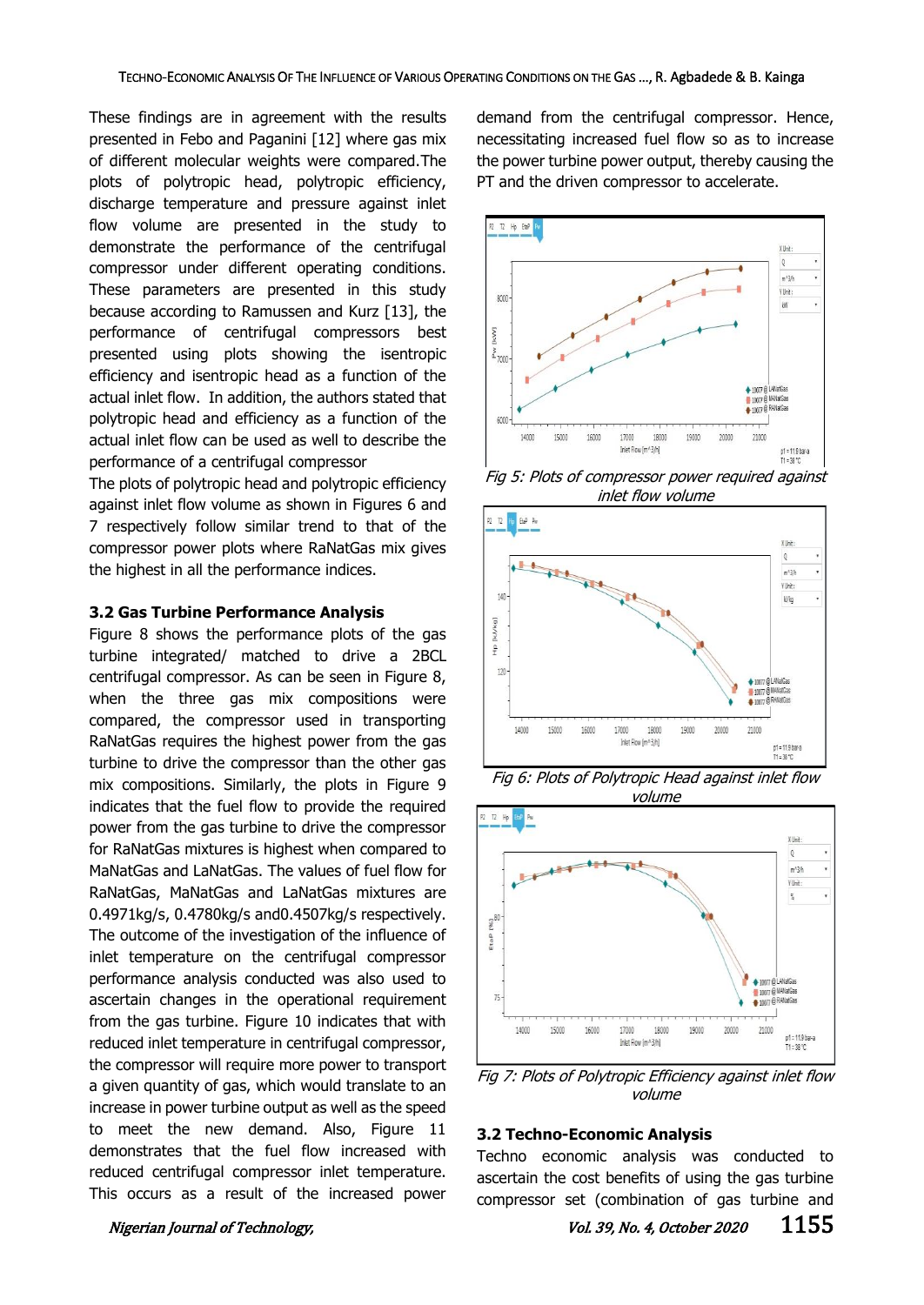These findings are in agreement with the results presented in Febo and Paganini [12] where gas mix of different molecular weights were compared.The plots of polytropic head, polytropic efficiency, discharge temperature and pressure against inlet flow volume are presented in the study to demonstrate the performance of the centrifugal compressor under different operating conditions. These parameters are presented in this study because according to Ramussen and Kurz [13], the performance of centrifugal compressors best presented using plots showing the isentropic efficiency and isentropic head as a function of the actual inlet flow. In addition, the authors stated that polytropic head and efficiency as a function of the actual inlet flow can be used as well to describe the performance of a centrifugal compressor

The plots of polytropic head and polytropic efficiency against inlet flow volume as shown in Figures 6 and 7 respectively follow similar trend to that of the compressor power plots where RaNatGas mix gives the highest in all the performance indices.

#### **3.2 Gas Turbine Performance Analysis**

Figure 8 shows the performance plots of the gas turbine integrated/ matched to drive a 2BCL centrifugal compressor. As can be seen in Figure 8, when the three gas mix compositions were compared, the compressor used in transporting RaNatGas requires the highest power from the gas turbine to drive the compressor than the other gas mix compositions. Similarly, the plots in Figure 9 indicates that the fuel flow to provide the required power from the gas turbine to drive the compressor for RaNatGas mixtures is highest when compared to MaNatGas and LaNatGas. The values of fuel flow for RaNatGas, MaNatGas and LaNatGas mixtures are 0.4971kg/s, 0.4780kg/s and0.4507kg/s respectively. The outcome of the investigation of the influence of inlet temperature on the centrifugal compressor performance analysis conducted was also used to ascertain changes in the operational requirement from the gas turbine. Figure 10 indicates that with reduced inlet temperature in centrifugal compressor, the compressor will require more power to transport a given quantity of gas, which would translate to an increase in power turbine output as well as the speed to meet the new demand. Also, Figure 11 demonstrates that the fuel flow increased with reduced centrifugal compressor inlet temperature. This occurs as a result of the increased power

demand from the centrifugal compressor. Hence, necessitating increased fuel flow so as to increase the power turbine power output, thereby causing the PT and the driven compressor to accelerate.



Fig 5: Plots of compressor power required against inlet flow volume



Fig 6: Plots of Polytropic Head against inlet flow volume



Fig 7: Plots of Polytropic Efficiency against inlet flow volume

### **3.2 Techno-Economic Analysis**

Techno economic analysis was conducted to ascertain the cost benefits of using the gas turbine compressor set (combination of gas turbine and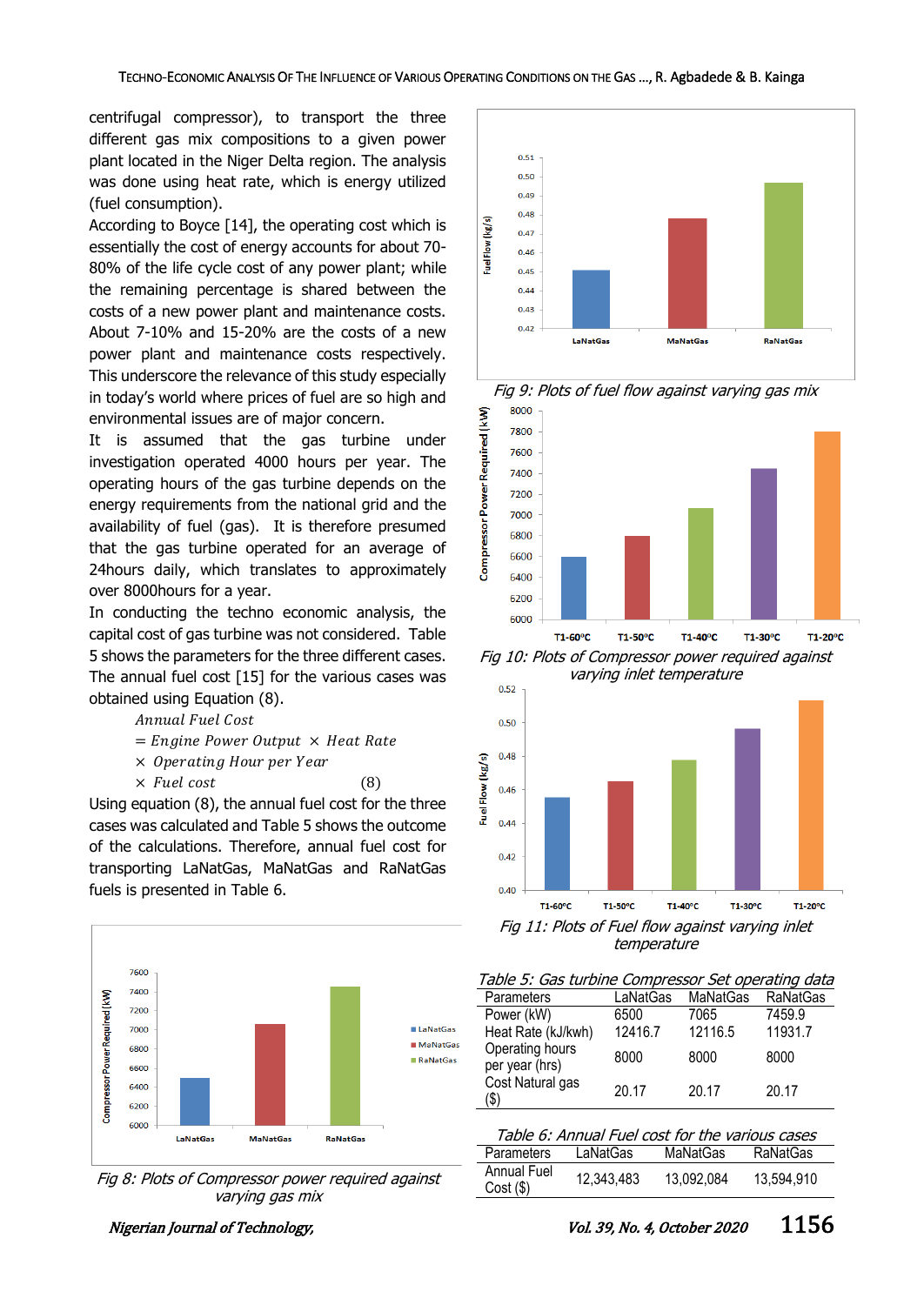centrifugal compressor), to transport the three different gas mix compositions to a given power plant located in the Niger Delta region. The analysis was done using heat rate, which is energy utilized (fuel consumption).

According to Boyce [14], the operating cost which is essentially the cost of energy accounts for about 70- 80% of the life cycle cost of any power plant; while the remaining percentage is shared between the costs of a new power plant and maintenance costs. About 7-10% and 15-20% are the costs of a new power plant and maintenance costs respectively. This underscore the relevance of this study especially in today's world where prices of fuel are so high and environmental issues are of major concern.

It is assumed that the gas turbine under investigation operated 4000 hours per year. The operating hours of the gas turbine depends on the energy requirements from the national grid and the availability of fuel (gas). It is therefore presumed that the gas turbine operated for an average of 24hours daily, which translates to approximately over 8000hours for a year.

In conducting the techno economic analysis, the capital cost of gas turbine was not considered. Table 5 shows the parameters for the three different cases. The annual fuel cost [15] for the various cases was obtained using Equation (8).

Annual Fuel Cost

 $=$  Engine Power Output  $\times$  Heat Rate

× Operating Hour per Year

 $\times$  *Fuel cost* (8)

Using equation (8), the annual fuel cost for the three cases was calculated and Table 5 shows the outcome of the calculations. Therefore, annual fuel cost for transporting LaNatGas, MaNatGas and RaNatGas fuels is presented in Table 6.



Fig 8: Plots of Compressor power required against varying gas mix





Fig 9: Plots of fuel flow against varying gas mix

T1-60°C T1-50°C T1-40°C T1-30°C T1-20°C Fig 10: Plots of Compressor power required against varying inlet temperature



temperature

6200 6000

| Table 5: Gas turbine Compressor Set operating data |          |          |                 |  |
|----------------------------------------------------|----------|----------|-----------------|--|
| Parameters                                         | LaNatGas | MaNatGas | <b>RaNatGas</b> |  |
| Power (kW)                                         | 6500     | 7065     | 7459.9          |  |
| Heat Rate (kJ/kwh)                                 | 12416.7  | 12116.5  | 11931.7         |  |
| Operating hours<br>per year (hrs)                  | 8000     | 8000     | 8000            |  |
| Cost Natural gas<br>\$)                            | 20.17    | 20.17    | 20.17           |  |

| Table 6: Annual Fuel cost for the various cases |            |                 |                 |
|-------------------------------------------------|------------|-----------------|-----------------|
| Parameters                                      | LaNatGas   | <b>MaNatGas</b> | <b>RaNatGas</b> |
| Annual Fuel<br>$Cost($ \$)                      | 12,343,483 | 13.092.084      | 13,594,910      |